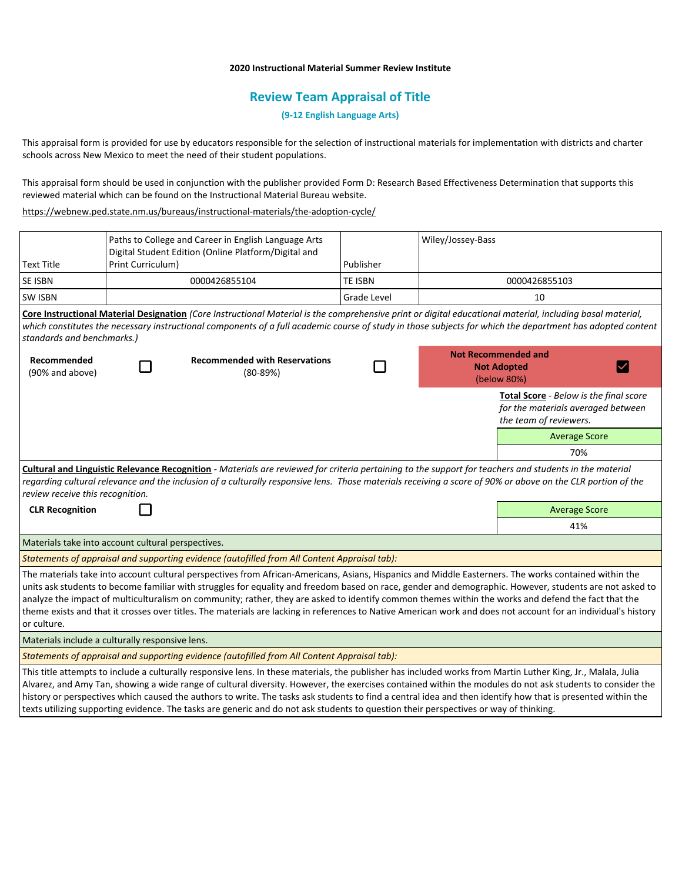## **2020 Instructional Material Summer Review Institute**

# **Review Team Appraisal of Title**

**(9-12 English Language Arts)**

This appraisal form is provided for use by educators responsible for the selection of instructional materials for implementation with districts and charter schools across New Mexico to meet the need of their student populations.

This appraisal form should be used in conjunction with the publisher provided Form D: Research Based Effectiveness Determination that supports this reviewed material which can be found on the Instructional Material Bureau website.

<https://webnew.ped.state.nm.us/bureaus/instructional-materials/the-adoption-cycle/>

|                                                                                                                                                                                                                                                                                                                                                                                                                                                                                                                                                                                                                                                          | Paths to College and Career in English Language Arts<br>Digital Student Edition (Online Platform/Digital and |                                                                                                                                       |             | Wiley/Jossey-Bass                                                                                                                                                                                                                                                                                                                                                                                                                                                                         |  |  |
|----------------------------------------------------------------------------------------------------------------------------------------------------------------------------------------------------------------------------------------------------------------------------------------------------------------------------------------------------------------------------------------------------------------------------------------------------------------------------------------------------------------------------------------------------------------------------------------------------------------------------------------------------------|--------------------------------------------------------------------------------------------------------------|---------------------------------------------------------------------------------------------------------------------------------------|-------------|-------------------------------------------------------------------------------------------------------------------------------------------------------------------------------------------------------------------------------------------------------------------------------------------------------------------------------------------------------------------------------------------------------------------------------------------------------------------------------------------|--|--|
| <b>Text Title</b>                                                                                                                                                                                                                                                                                                                                                                                                                                                                                                                                                                                                                                        | Print Curriculum)                                                                                            |                                                                                                                                       | Publisher   |                                                                                                                                                                                                                                                                                                                                                                                                                                                                                           |  |  |
| SE ISBN                                                                                                                                                                                                                                                                                                                                                                                                                                                                                                                                                                                                                                                  |                                                                                                              | 0000426855104                                                                                                                         | TE ISBN     | 0000426855103                                                                                                                                                                                                                                                                                                                                                                                                                                                                             |  |  |
| SW ISBN                                                                                                                                                                                                                                                                                                                                                                                                                                                                                                                                                                                                                                                  |                                                                                                              |                                                                                                                                       | Grade Level | 10                                                                                                                                                                                                                                                                                                                                                                                                                                                                                        |  |  |
| Core Instructional Material Designation (Core Instructional Material is the comprehensive print or digital educational material, including basal material,<br>which constitutes the necessary instructional components of a full academic course of study in those subjects for which the department has adopted content<br>standards and benchmarks.)                                                                                                                                                                                                                                                                                                   |                                                                                                              |                                                                                                                                       |             |                                                                                                                                                                                                                                                                                                                                                                                                                                                                                           |  |  |
| Recommended<br>(90% and above)                                                                                                                                                                                                                                                                                                                                                                                                                                                                                                                                                                                                                           |                                                                                                              | <b>Recommended with Reservations</b><br>$(80-89%)$                                                                                    |             | <b>Not Recommended and</b><br><b>Not Adopted</b><br>(below 80%)                                                                                                                                                                                                                                                                                                                                                                                                                           |  |  |
|                                                                                                                                                                                                                                                                                                                                                                                                                                                                                                                                                                                                                                                          |                                                                                                              |                                                                                                                                       |             | <b>Total Score</b> - Below is the final score<br>for the materials averaged between<br>the team of reviewers.                                                                                                                                                                                                                                                                                                                                                                             |  |  |
|                                                                                                                                                                                                                                                                                                                                                                                                                                                                                                                                                                                                                                                          |                                                                                                              |                                                                                                                                       |             | <b>Average Score</b>                                                                                                                                                                                                                                                                                                                                                                                                                                                                      |  |  |
|                                                                                                                                                                                                                                                                                                                                                                                                                                                                                                                                                                                                                                                          |                                                                                                              |                                                                                                                                       |             | 70%                                                                                                                                                                                                                                                                                                                                                                                                                                                                                       |  |  |
| Cultural and Linguistic Relevance Recognition - Materials are reviewed for criteria pertaining to the support for teachers and students in the material<br>regarding cultural relevance and the inclusion of a culturally responsive lens. Those materials receiving a score of 90% or above on the CLR portion of the<br>review receive this recognition.                                                                                                                                                                                                                                                                                               |                                                                                                              |                                                                                                                                       |             |                                                                                                                                                                                                                                                                                                                                                                                                                                                                                           |  |  |
| <b>CLR Recognition</b>                                                                                                                                                                                                                                                                                                                                                                                                                                                                                                                                                                                                                                   |                                                                                                              |                                                                                                                                       |             | <b>Average Score</b>                                                                                                                                                                                                                                                                                                                                                                                                                                                                      |  |  |
|                                                                                                                                                                                                                                                                                                                                                                                                                                                                                                                                                                                                                                                          |                                                                                                              |                                                                                                                                       |             | 41%                                                                                                                                                                                                                                                                                                                                                                                                                                                                                       |  |  |
| Materials take into account cultural perspectives.                                                                                                                                                                                                                                                                                                                                                                                                                                                                                                                                                                                                       |                                                                                                              |                                                                                                                                       |             |                                                                                                                                                                                                                                                                                                                                                                                                                                                                                           |  |  |
| Statements of appraisal and supporting evidence (autofilled from All Content Appraisal tab):                                                                                                                                                                                                                                                                                                                                                                                                                                                                                                                                                             |                                                                                                              |                                                                                                                                       |             |                                                                                                                                                                                                                                                                                                                                                                                                                                                                                           |  |  |
| The materials take into account cultural perspectives from African-Americans, Asians, Hispanics and Middle Easterners. The works contained within the<br>units ask students to become familiar with struggles for equality and freedom based on race, gender and demographic. However, students are not asked to<br>analyze the impact of multiculturalism on community; rather, they are asked to identify common themes within the works and defend the fact that the<br>theme exists and that it crosses over titles. The materials are lacking in references to Native American work and does not account for an individual's history<br>or culture. |                                                                                                              |                                                                                                                                       |             |                                                                                                                                                                                                                                                                                                                                                                                                                                                                                           |  |  |
| Materials include a culturally responsive lens.                                                                                                                                                                                                                                                                                                                                                                                                                                                                                                                                                                                                          |                                                                                                              |                                                                                                                                       |             |                                                                                                                                                                                                                                                                                                                                                                                                                                                                                           |  |  |
| Statements of appraisal and supporting evidence (autofilled from All Content Appraisal tab):                                                                                                                                                                                                                                                                                                                                                                                                                                                                                                                                                             |                                                                                                              |                                                                                                                                       |             |                                                                                                                                                                                                                                                                                                                                                                                                                                                                                           |  |  |
|                                                                                                                                                                                                                                                                                                                                                                                                                                                                                                                                                                                                                                                          |                                                                                                              | texts utilizing supporting evidence. The tasks are generic and do not ask students to question their perspectives or way of thinking. |             | This title attempts to include a culturally responsive lens. In these materials, the publisher has included works from Martin Luther King, Jr., Malala, Julia<br>Alvarez, and Amy Tan, showing a wide range of cultural diversity. However, the exercises contained within the modules do not ask students to consider the<br>history or perspectives which caused the authors to write. The tasks ask students to find a central idea and then identify how that is presented within the |  |  |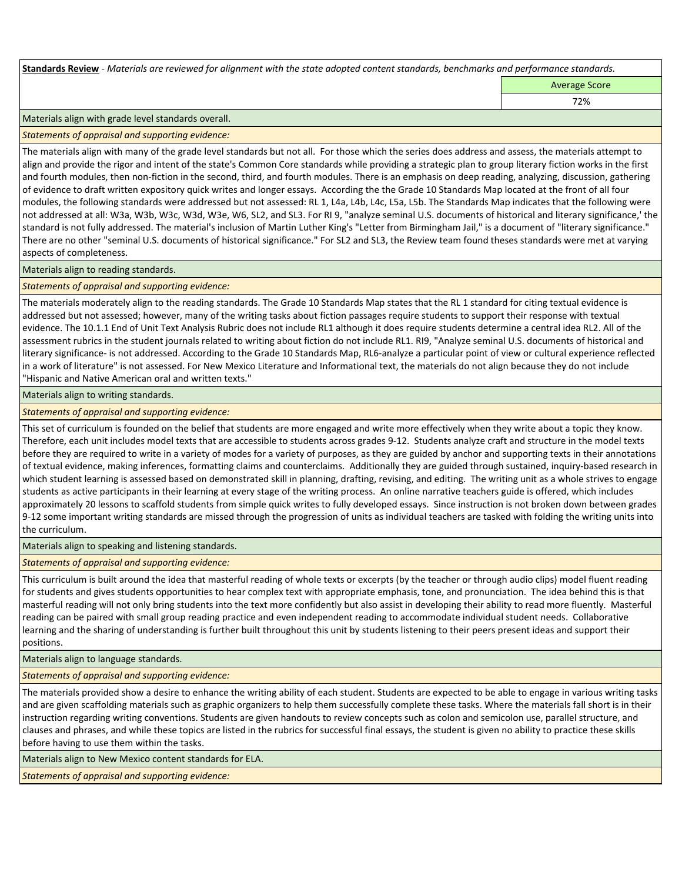**Standards Review** *- Materials are reviewed for alignment with the state adopted content standards, benchmarks and performance standards.*

Average Score

72%

Materials align with grade level standards overall.

*Statements of appraisal and supporting evidence:* 

The materials align with many of the grade level standards but not all. For those which the series does address and assess, the materials attempt to align and provide the rigor and intent of the state's Common Core standards while providing a strategic plan to group literary fiction works in the first and fourth modules, then non-fiction in the second, third, and fourth modules. There is an emphasis on deep reading, analyzing, discussion, gathering of evidence to draft written expository quick writes and longer essays. According the the Grade 10 Standards Map located at the front of all four modules, the following standards were addressed but not assessed: RL 1, L4a, L4b, L4c, L5a, L5b. The Standards Map indicates that the following were not addressed at all: W3a, W3b, W3c, W3d, W3e, W6, SL2, and SL3. For RI 9, "analyze seminal U.S. documents of historical and literary significance,' the standard is not fully addressed. The material's inclusion of Martin Luther King's "Letter from Birmingham Jail," is a document of "literary significance." There are no other "seminal U.S. documents of historical significance." For SL2 and SL3, the Review team found theses standards were met at varying aspects of completeness.

Materials align to reading standards.

*Statements of appraisal and supporting evidence:* 

The materials moderately align to the reading standards. The Grade 10 Standards Map states that the RL 1 standard for citing textual evidence is addressed but not assessed; however, many of the writing tasks about fiction passages require students to support their response with textual evidence. The 10.1.1 End of Unit Text Analysis Rubric does not include RL1 although it does require students determine a central idea RL2. All of the assessment rubrics in the student journals related to writing about fiction do not include RL1. RI9, "Analyze seminal U.S. documents of historical and literary significance- is not addressed. According to the Grade 10 Standards Map, RL6-analyze a particular point of view or cultural experience reflected in a work of literature" is not assessed. For New Mexico Literature and Informational text, the materials do not align because they do not include "Hispanic and Native American oral and written texts."

## Materials align to writing standards.

*Statements of appraisal and supporting evidence:* 

This set of curriculum is founded on the belief that students are more engaged and write more effectively when they write about a topic they know. Therefore, each unit includes model texts that are accessible to students across grades 9-12. Students analyze craft and structure in the model texts before they are required to write in a variety of modes for a variety of purposes, as they are guided by anchor and supporting texts in their annotations of textual evidence, making inferences, formatting claims and counterclaims. Additionally they are guided through sustained, inquiry-based research in which student learning is assessed based on demonstrated skill in planning, drafting, revising, and editing. The writing unit as a whole strives to engage students as active participants in their learning at every stage of the writing process. An online narrative teachers guide is offered, which includes approximately 20 lessons to scaffold students from simple quick writes to fully developed essays. Since instruction is not broken down between grades 9-12 some important writing standards are missed through the progression of units as individual teachers are tasked with folding the writing units into the curriculum.

Materials align to speaking and listening standards.

*Statements of appraisal and supporting evidence:* 

This curriculum is built around the idea that masterful reading of whole texts or excerpts (by the teacher or through audio clips) model fluent reading for students and gives students opportunities to hear complex text with appropriate emphasis, tone, and pronunciation. The idea behind this is that masterful reading will not only bring students into the text more confidently but also assist in developing their ability to read more fluently. Masterful reading can be paired with small group reading practice and even independent reading to accommodate individual student needs. Collaborative learning and the sharing of understanding is further built throughout this unit by students listening to their peers present ideas and support their positions.

Materials align to language standards.

*Statements of appraisal and supporting evidence:* 

The materials provided show a desire to enhance the writing ability of each student. Students are expected to be able to engage in various writing tasks and are given scaffolding materials such as graphic organizers to help them successfully complete these tasks. Where the materials fall short is in their instruction regarding writing conventions. Students are given handouts to review concepts such as colon and semicolon use, parallel structure, and clauses and phrases, and while these topics are listed in the rubrics for successful final essays, the student is given no ability to practice these skills before having to use them within the tasks.

Materials align to New Mexico content standards for ELA.

*Statements of appraisal and supporting evidence:*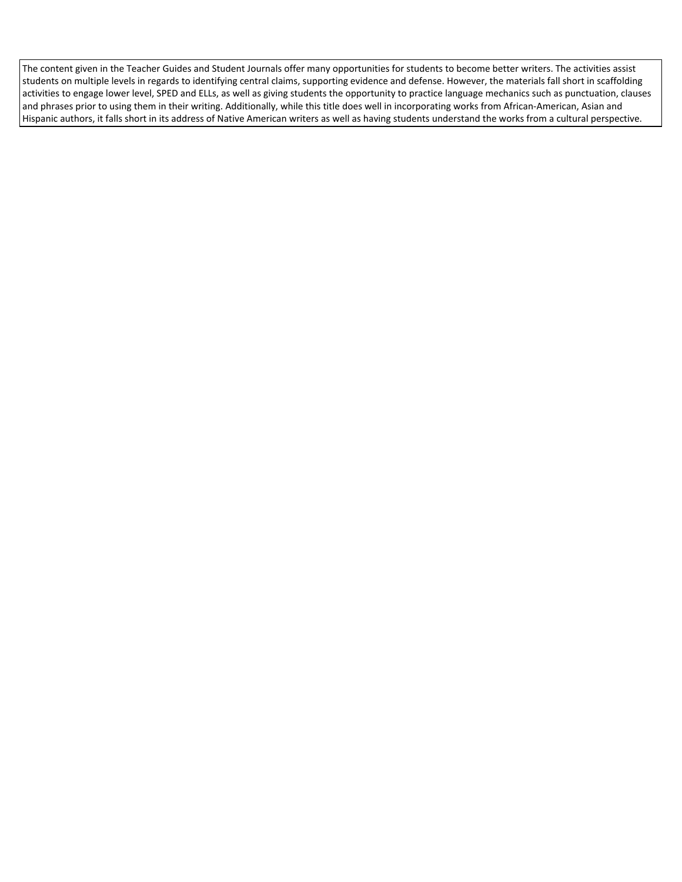The content given in the Teacher Guides and Student Journals offer many opportunities for students to become better writers. The activities assist students on multiple levels in regards to identifying central claims, supporting evidence and defense. However, the materials fall short in scaffolding activities to engage lower level, SPED and ELLs, as well as giving students the opportunity to practice language mechanics such as punctuation, clauses and phrases prior to using them in their writing. Additionally, while this title does well in incorporating works from African-American, Asian and Hispanic authors, it falls short in its address of Native American writers as well as having students understand the works from a cultural perspective.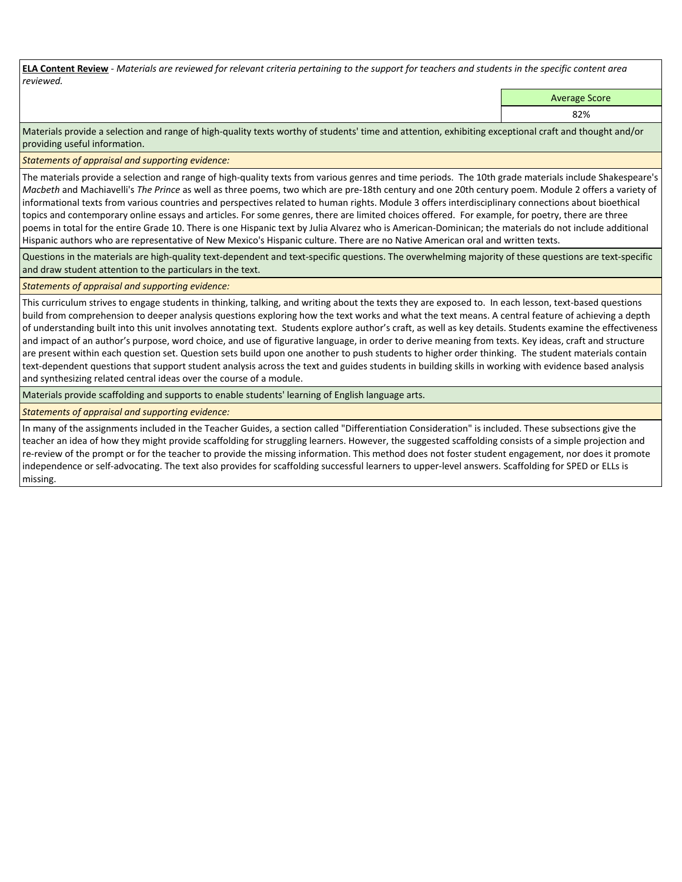**ELA Content Review** *- Materials are reviewed for relevant criteria pertaining to the support for teachers and students in the specific content area reviewed.*

Average Score

82%

Materials provide a selection and range of high-quality texts worthy of students' time and attention, exhibiting exceptional craft and thought and/or providing useful information.

*Statements of appraisal and supporting evidence:* 

The materials provide a selection and range of high-quality texts from various genres and time periods. The 10th grade materials include Shakespeare's *Macbeth* and Machiavelli's *The Prince* as well as three poems, two which are pre-18th century and one 20th century poem. Module 2 offers a variety of informational texts from various countries and perspectives related to human rights. Module 3 offers interdisciplinary connections about bioethical topics and contemporary online essays and articles. For some genres, there are limited choices offered. For example, for poetry, there are three poems in total for the entire Grade 10. There is one Hispanic text by Julia Alvarez who is American-Dominican; the materials do not include additional Hispanic authors who are representative of New Mexico's Hispanic culture. There are no Native American oral and written texts.

Questions in the materials are high-quality text-dependent and text-specific questions. The overwhelming majority of these questions are text-specific and draw student attention to the particulars in the text.

*Statements of appraisal and supporting evidence:* 

This curriculum strives to engage students in thinking, talking, and writing about the texts they are exposed to. In each lesson, text-based questions build from comprehension to deeper analysis questions exploring how the text works and what the text means. A central feature of achieving a depth of understanding built into this unit involves annotating text. Students explore author's craft, as well as key details. Students examine the effectiveness and impact of an author's purpose, word choice, and use of figurative language, in order to derive meaning from texts. Key ideas, craft and structure are present within each question set. Question sets build upon one another to push students to higher order thinking. The student materials contain text-dependent questions that support student analysis across the text and guides students in building skills in working with evidence based analysis and synthesizing related central ideas over the course of a module.

Materials provide scaffolding and supports to enable students' learning of English language arts.

# *Statements of appraisal and supporting evidence:*

In many of the assignments included in the Teacher Guides, a section called "Differentiation Consideration" is included. These subsections give the teacher an idea of how they might provide scaffolding for struggling learners. However, the suggested scaffolding consists of a simple projection and re-review of the prompt or for the teacher to provide the missing information. This method does not foster student engagement, nor does it promote independence or self-advocating. The text also provides for scaffolding successful learners to upper-level answers. Scaffolding for SPED or ELLs is missing.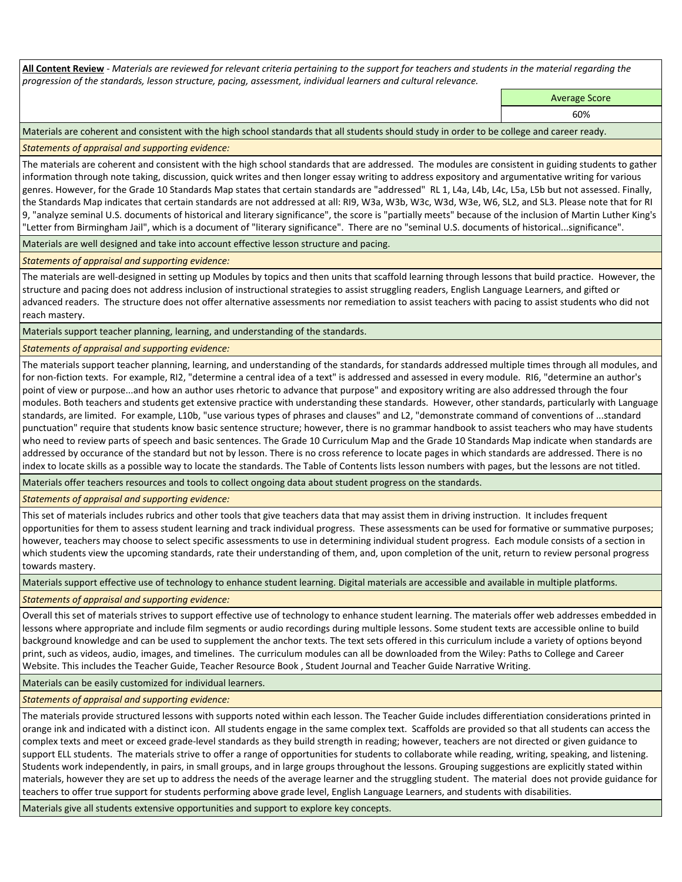**All Content Review** *- Materials are reviewed for relevant criteria pertaining to the support for teachers and students in the material regarding the progression of the standards, lesson structure, pacing, assessment, individual learners and cultural relevance.*

Average Score

60%

Materials are coherent and consistent with the high school standards that all students should study in order to be college and career ready.

*Statements of appraisal and supporting evidence:*

The materials are coherent and consistent with the high school standards that are addressed. The modules are consistent in guiding students to gather information through note taking, discussion, quick writes and then longer essay writing to address expository and argumentative writing for various genres. However, for the Grade 10 Standards Map states that certain standards are "addressed" RL 1, L4a, L4b, L4c, L5a, L5b but not assessed. Finally, the Standards Map indicates that certain standards are not addressed at all: RI9, W3a, W3b, W3c, W3d, W3e, W6, SL2, and SL3. Please note that for RI 9, "analyze seminal U.S. documents of historical and literary significance", the score is "partially meets" because of the inclusion of Martin Luther King's "Letter from Birmingham Jail", which is a document of "literary significance". There are no "seminal U.S. documents of historical...significance".

Materials are well designed and take into account effective lesson structure and pacing.

*Statements of appraisal and supporting evidence:*

The materials are well-designed in setting up Modules by topics and then units that scaffold learning through lessons that build practice. However, the structure and pacing does not address inclusion of instructional strategies to assist struggling readers, English Language Learners, and gifted or advanced readers. The structure does not offer alternative assessments nor remediation to assist teachers with pacing to assist students who did not reach mastery.

Materials support teacher planning, learning, and understanding of the standards.

*Statements of appraisal and supporting evidence:*

The materials support teacher planning, learning, and understanding of the standards, for standards addressed multiple times through all modules, and for non-fiction texts. For example, RI2, "determine a central idea of a text" is addressed and assessed in every module. RI6, "determine an author's point of view or purpose...and how an author uses rhetoric to advance that purpose" and expository writing are also addressed through the four modules. Both teachers and students get extensive practice with understanding these standards. However, other standards, particularly with Language standards, are limited. For example, L10b, "use various types of phrases and clauses" and L2, "demonstrate command of conventions of ...standard punctuation" require that students know basic sentence structure; however, there is no grammar handbook to assist teachers who may have students who need to review parts of speech and basic sentences. The Grade 10 Curriculum Map and the Grade 10 Standards Map indicate when standards are addressed by occurance of the standard but not by lesson. There is no cross reference to locate pages in which standards are addressed. There is no index to locate skills as a possible way to locate the standards. The Table of Contents lists lesson numbers with pages, but the lessons are not titled.

Materials offer teachers resources and tools to collect ongoing data about student progress on the standards.

*Statements of appraisal and supporting evidence:*

This set of materials includes rubrics and other tools that give teachers data that may assist them in driving instruction. It includes frequent opportunities for them to assess student learning and track individual progress. These assessments can be used for formative or summative purposes; however, teachers may choose to select specific assessments to use in determining individual student progress. Each module consists of a section in which students view the upcoming standards, rate their understanding of them, and, upon completion of the unit, return to review personal progress towards mastery.

Materials support effective use of technology to enhance student learning. Digital materials are accessible and available in multiple platforms.

*Statements of appraisal and supporting evidence:*

Overall this set of materials strives to support effective use of technology to enhance student learning. The materials offer web addresses embedded in lessons where appropriate and include film segments or audio recordings during multiple lessons. Some student texts are accessible online to build background knowledge and can be used to supplement the anchor texts. The text sets offered in this curriculum include a variety of options beyond print, such as videos, audio, images, and timelines. The curriculum modules can all be downloaded from the Wiley: Paths to College and Career Website. This includes the Teacher Guide, Teacher Resource Book , Student Journal and Teacher Guide Narrative Writing.

Materials can be easily customized for individual learners.

*Statements of appraisal and supporting evidence:* 

The materials provide structured lessons with supports noted within each lesson. The Teacher Guide includes differentiation considerations printed in orange ink and indicated with a distinct icon. All students engage in the same complex text. Scaffolds are provided so that all students can access the complex texts and meet or exceed grade-level standards as they build strength in reading; however, teachers are not directed or given guidance to support ELL students. The materials strive to offer a range of opportunities for students to collaborate while reading, writing, speaking, and listening. Students work independently, in pairs, in small groups, and in large groups throughout the lessons. Grouping suggestions are explicitly stated within materials, however they are set up to address the needs of the average learner and the struggling student. The material does not provide guidance for teachers to offer true support for students performing above grade level, English Language Learners, and students with disabilities.

Materials give all students extensive opportunities and support to explore key concepts.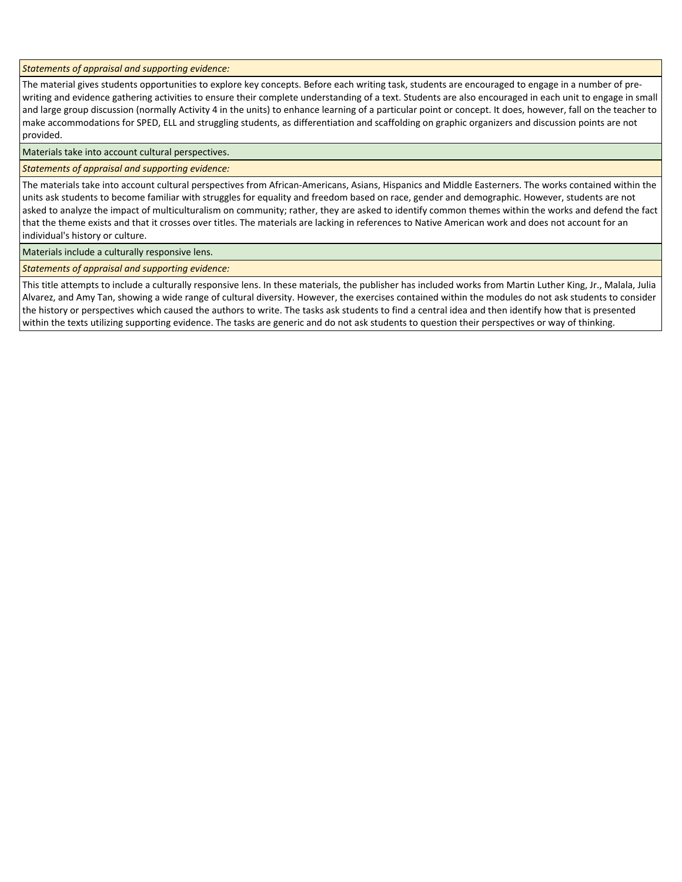*Statements of appraisal and supporting evidence:*

The material gives students opportunities to explore key concepts. Before each writing task, students are encouraged to engage in a number of prewriting and evidence gathering activities to ensure their complete understanding of a text. Students are also encouraged in each unit to engage in small and large group discussion (normally Activity 4 in the units) to enhance learning of a particular point or concept. It does, however, fall on the teacher to make accommodations for SPED, ELL and struggling students, as differentiation and scaffolding on graphic organizers and discussion points are not provided.

Materials take into account cultural perspectives.

### *Statements of appraisal and supporting evidence:*

The materials take into account cultural perspectives from African-Americans, Asians, Hispanics and Middle Easterners. The works contained within the units ask students to become familiar with struggles for equality and freedom based on race, gender and demographic. However, students are not asked to analyze the impact of multiculturalism on community; rather, they are asked to identify common themes within the works and defend the fact that the theme exists and that it crosses over titles. The materials are lacking in references to Native American work and does not account for an individual's history or culture.

Materials include a culturally responsive lens.

*Statements of appraisal and supporting evidence:*

This title attempts to include a culturally responsive lens. In these materials, the publisher has included works from Martin Luther King, Jr., Malala, Julia Alvarez, and Amy Tan, showing a wide range of cultural diversity. However, the exercises contained within the modules do not ask students to consider the history or perspectives which caused the authors to write. The tasks ask students to find a central idea and then identify how that is presented within the texts utilizing supporting evidence. The tasks are generic and do not ask students to question their perspectives or way of thinking.